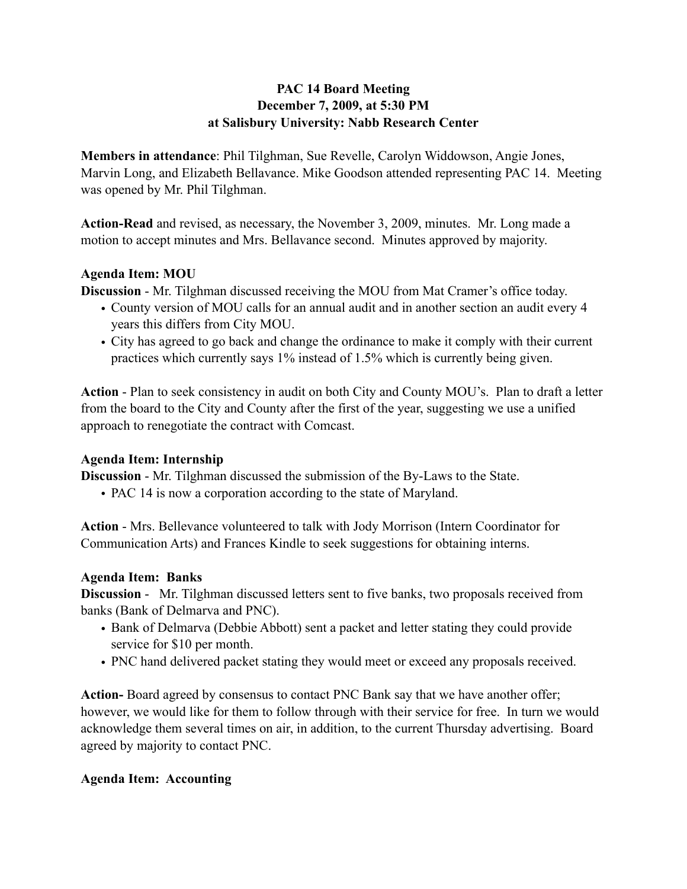# **PAC 14 Board Meeting December 7, 2009, at 5:30 PM at Salisbury University: Nabb Research Center**

**Members in attendance**: Phil Tilghman, Sue Revelle, Carolyn Widdowson, Angie Jones, Marvin Long, and Elizabeth Bellavance. Mike Goodson attended representing PAC 14. Meeting was opened by Mr. Phil Tilghman.

**Action-Read** and revised, as necessary, the November 3, 2009, minutes. Mr. Long made a motion to accept minutes and Mrs. Bellavance second. Minutes approved by majority.

## **Agenda Item: MOU**

**Discussion** - Mr. Tilghman discussed receiving the MOU from Mat Cramer's office today.

- County version of MOU calls for an annual audit and in another section an audit every 4 years this differs from City MOU.
- City has agreed to go back and change the ordinance to make it comply with their current practices which currently says 1% instead of 1.5% which is currently being given.

**Action** - Plan to seek consistency in audit on both City and County MOU's. Plan to draft a letter from the board to the City and County after the first of the year, suggesting we use a unified approach to renegotiate the contract with Comcast.

## **Agenda Item: Internship**

**Discussion** - Mr. Tilghman discussed the submission of the By-Laws to the State.

• PAC 14 is now a corporation according to the state of Maryland.

**Action** - Mrs. Bellevance volunteered to talk with Jody Morrison (Intern Coordinator for Communication Arts) and Frances Kindle to seek suggestions for obtaining interns.

## **Agenda Item: Banks**

**Discussion** - Mr. Tilghman discussed letters sent to five banks, two proposals received from banks (Bank of Delmarva and PNC).

- Bank of Delmarva (Debbie Abbott) sent a packet and letter stating they could provide service for \$10 per month.
- PNC hand delivered packet stating they would meet or exceed any proposals received.

**Action-** Board agreed by consensus to contact PNC Bank say that we have another offer; however, we would like for them to follow through with their service for free. In turn we would acknowledge them several times on air, in addition, to the current Thursday advertising. Board agreed by majority to contact PNC.

## **Agenda Item: Accounting**